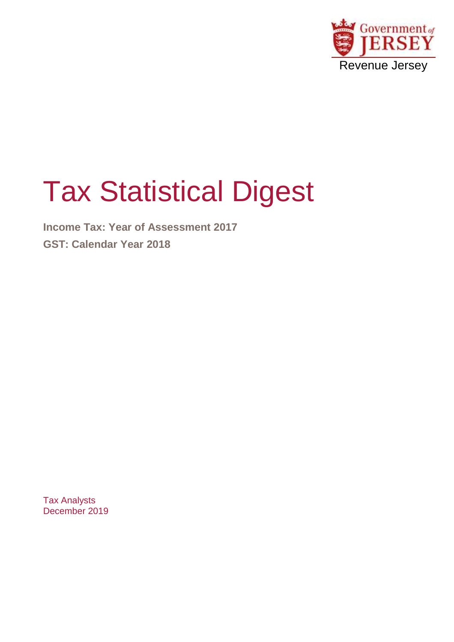

# Tax Statistical Digest

**Income Tax: Year of Assessment 2017 GST: Calendar Year 2018**

Tax Analysts December 2019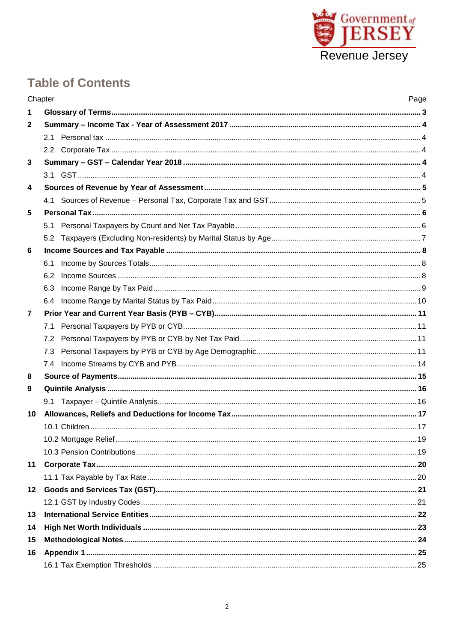

# **Table of Contents**

|                  | Chapter | Page |
|------------------|---------|------|
| $\mathbf 1$      |         |      |
| $\mathbf{2}$     |         |      |
|                  |         |      |
|                  |         |      |
| 3                |         |      |
|                  |         |      |
| $\boldsymbol{4}$ |         |      |
|                  |         |      |
| 5                |         |      |
|                  | 5.1     |      |
|                  | 5.2     |      |
| 6                |         |      |
|                  | 6.1     |      |
|                  | 6.2     |      |
|                  | 6.3     |      |
|                  | 6.4     |      |
| $\overline{7}$   |         |      |
|                  | 7.1     |      |
|                  | 7.2     |      |
|                  | 7.3     |      |
|                  |         |      |
| 8                |         |      |
| 9                |         |      |
|                  | 9.1     |      |
| 10               |         |      |
|                  |         |      |
|                  |         |      |
|                  |         |      |
| 11               |         |      |
|                  |         |      |
| 12               |         |      |
|                  |         |      |
| 13               |         |      |
| 14               |         |      |
| 15               |         |      |
| 16               |         |      |
|                  |         |      |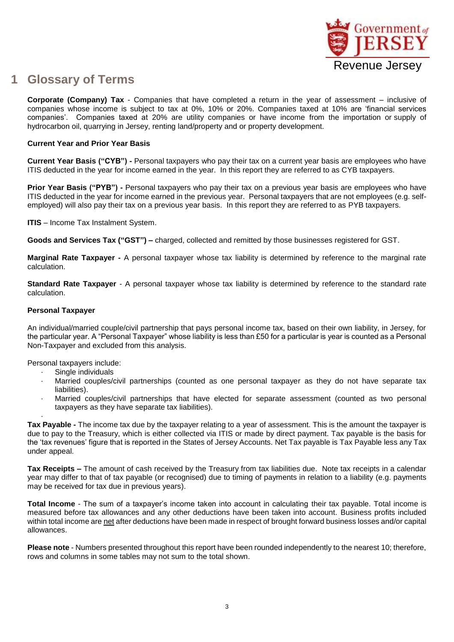

#### <span id="page-2-0"></span>**1 Glossary of Terms**

**Corporate (Company) Tax** - Companies that have completed a return in the year of assessment – inclusive of companies whose income is subject to tax at 0%, 10% or 20%. Companies taxed at 10% are 'financial services companies'. Companies taxed at 20% are utility companies or have income from the importation or supply of hydrocarbon oil, quarrying in Jersey, renting land/property and or property development.

#### **Current Year and Prior Year Basis**

**Current Year Basis ("CYB") -** Personal taxpayers who pay their tax on a current year basis are employees who have ITIS deducted in the year for income earned in the year. In this report they are referred to as CYB taxpayers.

**Prior Year Basis ("PYB") -** Personal taxpayers who pay their tax on a previous year basis are employees who have ITIS deducted in the year for income earned in the previous year. Personal taxpayers that are not employees (e.g. selfemployed) will also pay their tax on a previous year basis. In this report they are referred to as PYB taxpayers.

**ITIS** – Income Tax Instalment System.

**Goods and Services Tax ("GST") –** charged, collected and remitted by those businesses registered for GST.

**Marginal Rate Taxpayer -** A personal taxpayer whose tax liability is determined by reference to the marginal rate calculation.

**Standard Rate Taxpayer** - A personal taxpayer whose tax liability is determined by reference to the standard rate calculation.

#### **Personal Taxpayer**

An individual/married couple/civil partnership that pays personal income tax, based on their own liability, in Jersey, for the particular year. A "Personal Taxpayer" whose liability is less than £50 for a particular is year is counted as a Personal Non-Taxpayer and excluded from this analysis.

Personal taxpayers include:

- Single individuals
- · Married couples/civil partnerships (counted as one personal taxpayer as they do not have separate tax liabilities).
- Married couples/civil partnerships that have elected for separate assessment (counted as two personal taxpayers as they have separate tax liabilities).

· **Tax Payable -** The income tax due by the taxpayer relating to a year of assessment. This is the amount the taxpayer is due to pay to the Treasury, which is either collected via ITIS or made by direct payment. Tax payable is the basis for the 'tax revenues' figure that is reported in the States of Jersey Accounts. Net Tax payable is Tax Payable less any Tax under appeal.

**Tax Receipts –** The amount of cash received by the Treasury from tax liabilities due. Note tax receipts in a calendar year may differ to that of tax payable (or recognised) due to timing of payments in relation to a liability (e.g. payments may be received for tax due in previous years).

**Total Income** - The sum of a taxpayer's income taken into account in calculating their tax payable. Total income is measured before tax allowances and any other deductions have been taken into account. Business profits included within total income are net after deductions have been made in respect of brought forward business losses and/or capital allowances.

**Please note** - Numbers presented throughout this report have been rounded independently to the nearest 10; therefore, rows and columns in some tables may not sum to the total shown.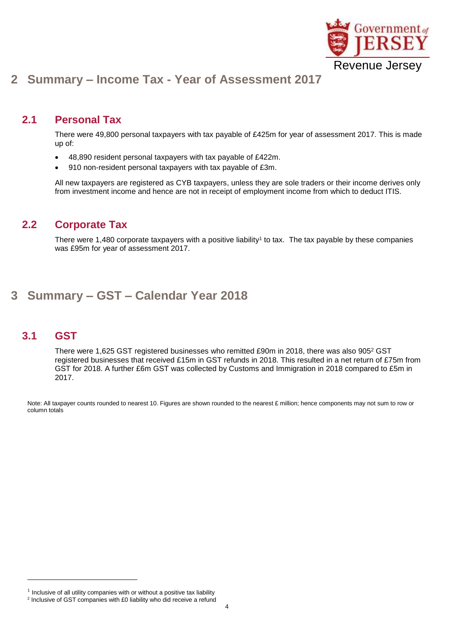

## <span id="page-3-0"></span>**2 Summary – Income Tax - Year of Assessment 2017**

#### <span id="page-3-1"></span>**2.1 Personal Tax**

There were 49,800 personal taxpayers with tax payable of £425m for year of assessment 2017. This is made up of:

- 48,890 resident personal taxpayers with tax payable of £422m.
- 910 non-resident personal taxpayers with tax payable of £3m.

All new taxpayers are registered as CYB taxpayers, unless they are sole traders or their income derives only from investment income and hence are not in receipt of employment income from which to deduct ITIS.

#### <span id="page-3-2"></span>**2.2 Corporate Tax**

There were 1,480 corporate taxpayers with a positive liability<sup>1</sup> to tax. The tax payable by these companies was £95m for year of assessment 2017.

#### <span id="page-3-3"></span>**3 Summary – GST – Calendar Year 2018**

#### <span id="page-3-4"></span>**3.1 GST**

1

There were 1,625 GST registered businesses who remitted £90m in 2018, there was also 905<sup>2</sup> GST registered businesses that received £15m in GST refunds in 2018. This resulted in a net return of £75m from GST for 2018. A further £6m GST was collected by Customs and Immigration in 2018 compared to £5m in 2017.

Note: All taxpayer counts rounded to nearest 10. Figures are shown rounded to the nearest £ million; hence components may not sum to row or column totals

 $1$  Inclusive of all utility companies with or without a positive tax liability <sup>2</sup> Inclusive of GST companies with £0 liability who did receive a refund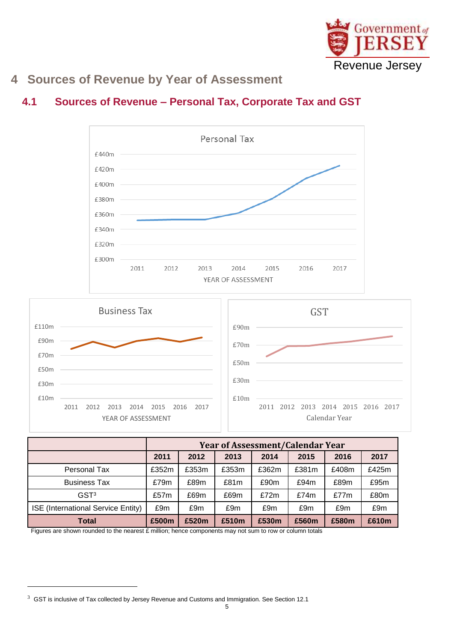

# <span id="page-4-0"></span>**4 Sources of Revenue by Year of Assessment**

### <span id="page-4-1"></span>**4.1 Sources of Revenue – Personal Tax, Corporate Tax and GST**





|                                    |       | <b>Year of Assessment/Calendar Year</b> |       |       |         |         |       |  |  |  |
|------------------------------------|-------|-----------------------------------------|-------|-------|---------|---------|-------|--|--|--|
|                                    | 2011  | 2012                                    | 2013  | 2014  | 2015    | 2016    | 2017  |  |  |  |
| Personal Tax                       | £352m | £353m                                   | £353m | £362m | £381m   | £408m   | £425m |  |  |  |
| <b>Business Tax</b>                | £79m  | £89m                                    | £81m  | £90m  | £94m    | £89m    | £95m  |  |  |  |
| GST <sup>3</sup>                   | £57m  | £69m                                    | £69m  | £72m  | £74 $m$ | £77 $m$ | £80m  |  |  |  |
| ISE (International Service Entity) | £9m   | £9m                                     | £9m   | £9m   | £9m     | £9m     | £9m   |  |  |  |
| <b>Total</b>                       | £500m | £520m                                   | £510m | £530m | £560m   | £580m   | £610m |  |  |  |

Figures are shown rounded to the nearest £ million; hence components may not sum to row or column totals

-

 $3$  GST is inclusive of Tax collected by Jersey Revenue and Customs and Immigration. See Section 12.1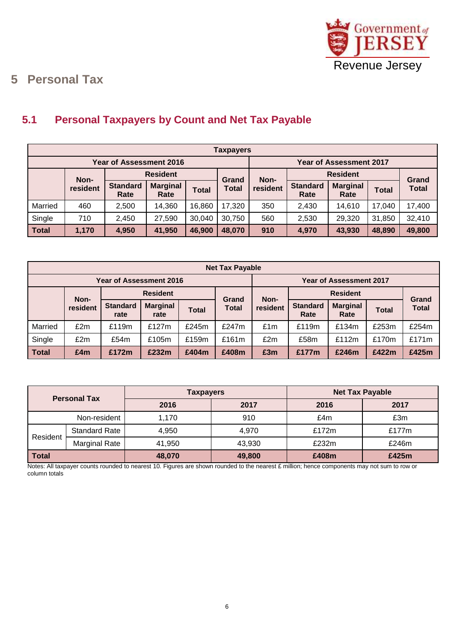

# <span id="page-5-0"></span>**5 Personal Tax**

#### <span id="page-5-1"></span>**5.1 Personal Taxpayers by Count and Net Tax Payable**

|              | <b>Taxpayers</b>                                                       |                                |                                |              |        |          |                         |                         |              |              |  |
|--------------|------------------------------------------------------------------------|--------------------------------|--------------------------------|--------------|--------|----------|-------------------------|-------------------------|--------------|--------------|--|
|              |                                                                        | <b>Year of Assessment 2016</b> | <b>Year of Assessment 2017</b> |              |        |          |                         |                         |              |              |  |
|              | Non-                                                                   | <b>Resident</b>                |                                | Grand        | Non-   |          | <b>Resident</b>         |                         | Grand        |              |  |
|              | resident                                                               | <b>Standard</b><br>Rate        | <b>Marginal</b><br>Rate        | <b>Total</b> | Total  | resident | <b>Standard</b><br>Rate | <b>Marginal</b><br>Rate | <b>Total</b> | <b>Total</b> |  |
| Married      | 460                                                                    | 2,500                          | 14,360                         | 16,860       | 17,320 | 350      | 2,430                   | 14,610                  | 17,040       | 17,400       |  |
| Single       | 710                                                                    | 2,450                          | 27,590                         | 30,040       | 30,750 | 560      | 2,530                   | 29,320                  | 31,850       | 32,410       |  |
| <b>Total</b> | 1,170<br>4,950<br>46,900<br>48,070<br>910<br>41,950<br>4,970<br>43,930 |                                |                                |              |        |          | 48,890                  | 49,800                  |              |              |  |

|                         | <b>Net Tax Payable</b> |                         |                         |              |                       |                 |                                |                         |              |                       |  |
|-------------------------|------------------------|-------------------------|-------------------------|--------------|-----------------------|-----------------|--------------------------------|-------------------------|--------------|-----------------------|--|
| Year of Assessment 2016 |                        |                         |                         |              |                       |                 | <b>Year of Assessment 2017</b> |                         |              |                       |  |
|                         | <b>Resident</b>        |                         |                         |              | Non-                  | <b>Resident</b> |                                |                         |              |                       |  |
|                         | Non-<br>resident       | <b>Standard</b><br>rate | <b>Marginal</b><br>rate | <b>Total</b> | Grand<br><b>Total</b> | resident        | <b>Standard</b><br>Rate        | <b>Marginal</b><br>Rate | <b>Total</b> | Grand<br><b>Total</b> |  |
| Married                 | £2m                    | £119m                   | £127m                   | £245m        | £247 $m$              | £1m             | £119m                          | £134m                   | £253m        | £254m                 |  |
| Single                  | £2m                    | £54m                    | £105m                   | £159m        | £161m                 | £2m             | £58m                           | £112m                   | £170m        | £171m                 |  |
| <b>Total</b>            | £4m                    | £172m                   | £232m                   | £404m        | £408m                 | £3m             | £177m                          | £246m                   | £422m        | £425m                 |  |

| <b>Personal Tax</b> |                      | <b>Taxpayers</b> |        | <b>Net Tax Payable</b> |       |  |
|---------------------|----------------------|------------------|--------|------------------------|-------|--|
|                     |                      | 2016             | 2017   | 2016                   | 2017  |  |
| Non-resident        |                      | 1,170            | 910    | £4m                    | £3m   |  |
| Resident            | <b>Standard Rate</b> | 4.950            | 4.970  | £172m                  | £177m |  |
|                     | Marginal Rate        | 41,950           | 43,930 | £232m                  | £246m |  |
| Total               |                      | 48,070           | 49,800 | £408m                  | £425m |  |

Notes: All taxpayer counts rounded to nearest 10. Figures are shown rounded to the nearest £ million; hence components may not sum to row or column totals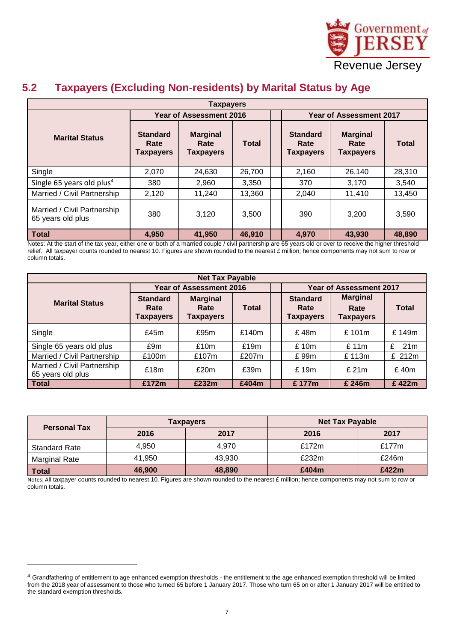

# Revenue Jersey

#### <span id="page-6-0"></span>**5.2 Taxpayers (Excluding Non-residents) by Marital Status by Age**

| <b>Taxpayers</b>                                 |                                      |                                                             |        |  |                                             |                                             |              |  |  |
|--------------------------------------------------|--------------------------------------|-------------------------------------------------------------|--------|--|---------------------------------------------|---------------------------------------------|--------------|--|--|
|                                                  |                                      | <b>Year of Assessment 2016</b>                              |        |  | <b>Year of Assessment 2017</b>              |                                             |              |  |  |
| <b>Marital Status</b>                            | <b>Standard</b><br>Rate<br>Taxpayers | <b>Marginal</b><br><b>Total</b><br>Rate<br><b>Taxpayers</b> |        |  | <b>Standard</b><br>Rate<br><b>Taxpayers</b> | <b>Marginal</b><br>Rate<br><b>Taxpayers</b> | <b>Total</b> |  |  |
| Single                                           | 2,070                                | 24,630                                                      | 26,700 |  | 2,160                                       | 26,140                                      | 28,310       |  |  |
| Single 65 years old plus <sup>4</sup>            | 380                                  | 2,960                                                       | 3,350  |  | 370                                         | 3,170                                       | 3,540        |  |  |
| Married / Civil Partnership                      | 2,120                                | 11,240                                                      | 13,360 |  | 2,040                                       | 11,410                                      | 13,450       |  |  |
| Married / Civil Partnership<br>65 years old plus | 380                                  | 3.120                                                       | 3,500  |  | 390                                         | 3,200                                       | 3,590        |  |  |
| <b>Total</b>                                     | 4,950                                | 41,950                                                      | 46,910 |  | 4,970                                       | 43,930                                      | 48,890       |  |  |

Notes: At the start of the tax year, either one or both of a married couple / civil partnership are 65 years old or over to receive the higher threshold relief. All taxpayer counts rounded to nearest 10. Figures are shown rounded to the nearest £ million; hence components may not sum to row or column totals.

| <b>Net Tax Payable</b>                           |                                      |                                             |              |  |                                                                                            |        |                      |  |  |
|--------------------------------------------------|--------------------------------------|---------------------------------------------|--------------|--|--------------------------------------------------------------------------------------------|--------|----------------------|--|--|
|                                                  |                                      | <b>Year of Assessment 2016</b>              |              |  | <b>Year of Assessment 2017</b>                                                             |        |                      |  |  |
| <b>Marital Status</b>                            | <b>Standard</b><br>Rate<br>Taxpayers | <b>Marginal</b><br>Rate<br><b>Taxpayers</b> | <b>Total</b> |  | <b>Marginal</b><br><b>Standard</b><br>Rate<br>Rate<br><b>Taxpayers</b><br><b>Taxpayers</b> |        | <b>Total</b>         |  |  |
| Single                                           | £45 $m$                              | £95m                                        | £140 $m$     |  | £48m                                                                                       | £101m  | £149m                |  |  |
| Single 65 years old plus                         | £9m                                  | £10m                                        | £19m         |  | £10m                                                                                       | £11m   | £<br>21 <sub>m</sub> |  |  |
| Married / Civil Partnership                      | £100m                                | £107m                                       | £207m        |  | £99m                                                                                       | £113m  | £ 212m               |  |  |
| Married / Civil Partnership<br>65 years old plus | £18m                                 | £20m                                        | £39m         |  | £19m                                                                                       | £21m   | £40m                 |  |  |
| <b>Total</b>                                     | £172m                                | £232m                                       | £404m        |  | £177m                                                                                      | £ 246m | £422m                |  |  |

| <b>Personal Tax</b>  |        | <b>Taxpayers</b> | <b>Net Tax Payable</b> |          |  |  |
|----------------------|--------|------------------|------------------------|----------|--|--|
|                      | 2016   | 2017             | 2016                   | 2017     |  |  |
| <b>Standard Rate</b> | 4,950  | 4.970            | £172m                  | £177 $m$ |  |  |
| <b>Marginal Rate</b> | 41.950 | 43.930           | £232m                  | £246m    |  |  |
| <b>Total</b>         | 46,900 | 48,890           | £404m                  | £422m    |  |  |

Notes: All taxpayer counts rounded to nearest 10. Figures are shown rounded to the nearest £ million; hence components may not sum to row or column totals.

1

<sup>&</sup>lt;sup>4</sup> Grandfathering of entitlement to age enhanced exemption thresholds - the entitlement to the age enhanced exemption threshold will be limited from the 2018 year of assessment to those who turned 65 before 1 January 2017. Those who turn 65 on or after 1 January 2017 will be entitled to the standard exemption thresholds.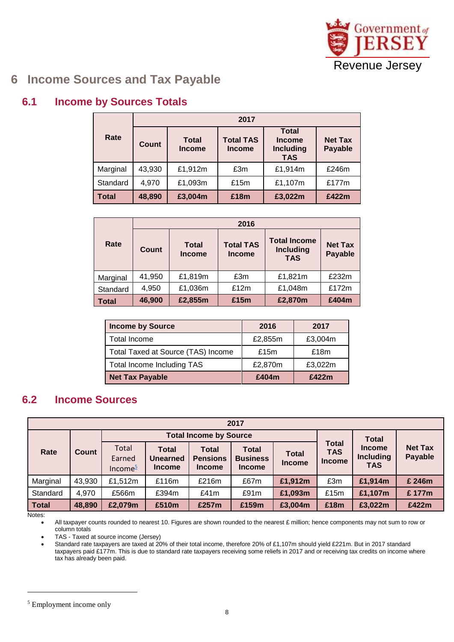

## <span id="page-7-0"></span>**6 Income Sources and Tax Payable**

#### <span id="page-7-1"></span>**6.1 Income by Sources Totals**

|              | 2017   |                               |                                   |                                                                 |                                  |  |  |  |  |
|--------------|--------|-------------------------------|-----------------------------------|-----------------------------------------------------------------|----------------------------------|--|--|--|--|
| Rate         | Count  | <b>Total</b><br><b>Income</b> | <b>Total TAS</b><br><b>Income</b> | <b>Total</b><br><b>Income</b><br><b>Including</b><br><b>TAS</b> | <b>Net Tax</b><br><b>Payable</b> |  |  |  |  |
| Marginal     | 43,930 | £1,912m                       | £3m                               | £1,914m                                                         | £246m                            |  |  |  |  |
| Standard     | 4,970  | £1,093m                       | £15 $m$                           | £1,107m                                                         | £177m                            |  |  |  |  |
| <b>Total</b> | 48,890 | £3,004m                       | £18m                              | £3,022m                                                         | £422m                            |  |  |  |  |

|              |        | 2016                          |                                   |                                                       |                                  |  |  |  |  |  |  |
|--------------|--------|-------------------------------|-----------------------------------|-------------------------------------------------------|----------------------------------|--|--|--|--|--|--|
| Rate         | Count  | <b>Total</b><br><b>Income</b> | <b>Total TAS</b><br><b>Income</b> | <b>Total Income</b><br><b>Including</b><br><b>TAS</b> | <b>Net Tax</b><br><b>Payable</b> |  |  |  |  |  |  |
| Marginal     | 41,950 | £1,819m                       | £3m                               | £1,821m                                               | £232m                            |  |  |  |  |  |  |
| Standard     | 4,950  | £1,036m                       | £12m                              | £1,048m                                               | £172m                            |  |  |  |  |  |  |
| <b>Total</b> | 46,900 | £2,855m                       | £15m                              | £2,870m                                               | £404m                            |  |  |  |  |  |  |

| <b>Income by Source</b>            | 2016    | 2017    |
|------------------------------------|---------|---------|
| Total Income                       | £2,855m | £3,004m |
| Total Taxed at Source (TAS) Income | £15m    | £18m    |
| Total Income Including TAS         | £2,870m | £3,022m |
| <b>Net Tax Payable</b>             | £404m   | £422m   |

#### <span id="page-7-2"></span>**6.2 Income Sources**

|              | 2017   |               |                 |                               |                 |               |                                      |                                |                |  |  |  |
|--------------|--------|---------------|-----------------|-------------------------------|-----------------|---------------|--------------------------------------|--------------------------------|----------------|--|--|--|
|              | Count  |               |                 | <b>Total Income by Source</b> |                 |               | <b>Total</b>                         |                                |                |  |  |  |
| Rate         |        | Total         | <b>Total</b>    | Total                         | <b>Total</b>    | <b>Total</b>  | Total<br><b>Income</b><br><b>TAS</b> |                                | <b>Net Tax</b> |  |  |  |
|              |        | Earned        | <b>Unearned</b> | <b>Pensions</b>               | <b>Business</b> | <b>Income</b> | <b>Income</b>                        | <b>Including</b><br><b>TAS</b> | Payable        |  |  |  |
|              |        | Income $\geq$ | <b>Income</b>   | <b>Income</b>                 | <b>Income</b>   |               |                                      |                                |                |  |  |  |
| Marginal     | 43,930 | £1,512m       | £116m           | £216m                         | £67m            | £1,912m       | £3m                                  | £1,914m                        | £ 246m         |  |  |  |
| Standard     | 4,970  | £566m         | £394m           | £41m                          | £91m            | £1,093m       | £15m                                 | £1,107m                        | £177m          |  |  |  |
| <b>Total</b> | 48,890 | £2,079m       | £510m           | £257m                         | £159m           | £3,004m       | £18m                                 | £3,022m                        | £422m          |  |  |  |

Notes:

1

All taxpayer counts rounded to nearest 10. Figures are shown rounded to the nearest £ million; hence components may not sum to row or column totals

TAS - Taxed at source income (Jersey)

 Standard rate taxpayers are taxed at 20% of their total income, therefore 20% of £1,107m should yield £221m. But in 2017 standard taxpayers paid £177m. This is due to standard rate taxpayers receiving some reliefs in 2017 and or receiving tax credits on income where tax has already been paid.

<sup>5</sup> Employment income only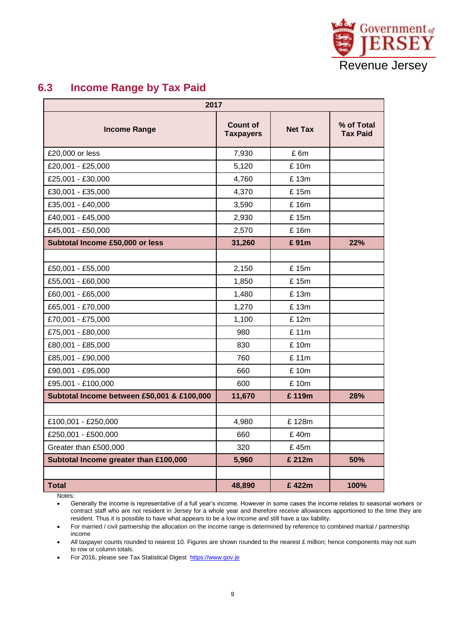

#### <span id="page-8-0"></span>**6.3 Income Range by Tax Paid**

| 2017                                       |                                     |                |                               |  |  |  |  |  |  |  |
|--------------------------------------------|-------------------------------------|----------------|-------------------------------|--|--|--|--|--|--|--|
| <b>Income Range</b>                        | <b>Count of</b><br><b>Taxpayers</b> | <b>Net Tax</b> | % of Total<br><b>Tax Paid</b> |  |  |  |  |  |  |  |
| £20,000 or less                            | 7,930                               | £6m            |                               |  |  |  |  |  |  |  |
| £20,001 - £25,000                          | 5,120                               | £ 10m          |                               |  |  |  |  |  |  |  |
| £25,001 - £30,000                          | 4,760                               | £ 13m          |                               |  |  |  |  |  |  |  |
| £30,001 - £35,000                          | 4,370                               | £15m           |                               |  |  |  |  |  |  |  |
| £35,001 - £40,000                          | 3,590                               | £ 16m          |                               |  |  |  |  |  |  |  |
| £40,001 - £45,000                          | 2,930                               | £ 15m          |                               |  |  |  |  |  |  |  |
| £45,001 - £50,000                          | 2,570                               | £ 16m          |                               |  |  |  |  |  |  |  |
| Subtotal Income £50,000 or less            | 31,260                              | £91m           | 22%                           |  |  |  |  |  |  |  |
|                                            |                                     |                |                               |  |  |  |  |  |  |  |
| £50,001 - £55,000                          | 2,150                               | £15m           |                               |  |  |  |  |  |  |  |
| £55,001 - £60,000                          | 1,850                               | £ 15m          |                               |  |  |  |  |  |  |  |
| £60,001 - £65,000                          | 1,480                               | £13m           |                               |  |  |  |  |  |  |  |
| £65,001 - £70,000                          | 1,270                               | £ 13m          |                               |  |  |  |  |  |  |  |
| £70,001 - £75,000                          | 1,100                               | £12m           |                               |  |  |  |  |  |  |  |
| £75,001 - £80,000                          | 980                                 | £11m           |                               |  |  |  |  |  |  |  |
| £80,001 - £85,000                          | 830                                 | £10m           |                               |  |  |  |  |  |  |  |
| £85,001 - £90,000                          | 760                                 | £11m           |                               |  |  |  |  |  |  |  |
| £90,001 - £95,000                          | 660                                 | £ 10m          |                               |  |  |  |  |  |  |  |
| £95,001 - £100,000                         | 600                                 | £10m           |                               |  |  |  |  |  |  |  |
| Subtotal Income between £50,001 & £100,000 | 11,670                              | £119m          | 28%                           |  |  |  |  |  |  |  |
|                                            |                                     |                |                               |  |  |  |  |  |  |  |
| £100,001 - £250,000                        | 4,980                               | £128m          |                               |  |  |  |  |  |  |  |
| £250,001 - £500,000                        | 660                                 | £40m           |                               |  |  |  |  |  |  |  |
| Greater than £500,000                      | 320                                 | £45m           |                               |  |  |  |  |  |  |  |
| Subtotal Income greater than £100,000      | 5,960                               | £ 212m         | 50%                           |  |  |  |  |  |  |  |
|                                            |                                     |                |                               |  |  |  |  |  |  |  |
| <b>Total</b>                               | 48,890                              | £422m          | 100%                          |  |  |  |  |  |  |  |

Notes:

 Generally the income is representative of a full year's income. However in some cases the income relates to seasonal workers or contract staff who are not resident in Jersey for a whole year and therefore receive allowances apportioned to the time they are resident. Thus it is possible to have what appears to be a low income and still have a tax liability.

 For married / civil partnership the allocation on the income range is determined by reference to combined marital / partnership income

All taxpayer counts rounded to nearest 10. Figures are shown rounded to the nearest £ million; hence components may not sum to row or column totals.

• For 2016, please see Tax Statistical Digest https://www.gov.je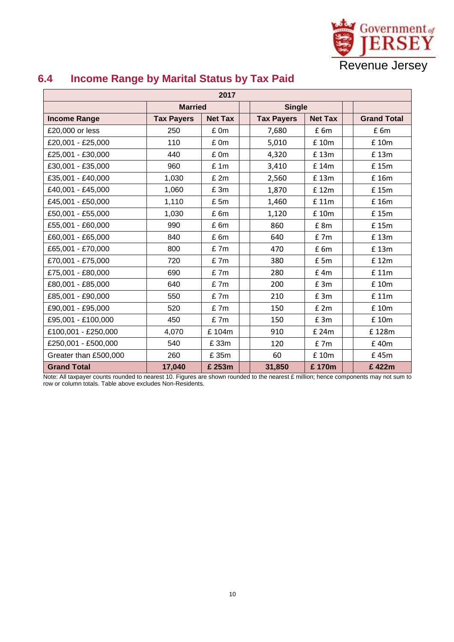

| 2017                  |                   |                |  |                   |                 |  |                    |  |  |  |
|-----------------------|-------------------|----------------|--|-------------------|-----------------|--|--------------------|--|--|--|
|                       | <b>Married</b>    |                |  | <b>Single</b>     |                 |  |                    |  |  |  |
| <b>Income Range</b>   | <b>Tax Payers</b> | <b>Net Tax</b> |  | <b>Tax Payers</b> | <b>Net Tax</b>  |  | <b>Grand Total</b> |  |  |  |
| £20,000 or less       | 250               | £ 0m           |  | 7,680             | £6m             |  | £6m                |  |  |  |
| £20,001 - £25,000     | 110               | £0m            |  | 5,010             | £ 10m           |  | £ 10m              |  |  |  |
| £25,001 - £30,000     | 440               | £0m            |  | 4,320             | £13m            |  | £13m               |  |  |  |
| £30,001 - £35,000     | 960               | £1m            |  | 3,410             | £ 14m           |  | £15m               |  |  |  |
| £35,001 - £40,000     | 1,030             | £ 2m           |  | 2,560             | £13m            |  | £ 16m              |  |  |  |
| £40,001 - £45,000     | 1,060             | £ 3m           |  | 1,870             | £12m            |  | £15m               |  |  |  |
| £45,001 - £50,000     | 1,110             | £5m            |  | 1,460<br>£ 11m    |                 |  | £ 16m              |  |  |  |
| £50,001 - £55,000     | 1,030             | £6m            |  | 1,120             | £ 10m           |  | £15m               |  |  |  |
| £55,001 - £60,000     | 990               | £6m            |  | 860               | £ 8m            |  | £15m               |  |  |  |
| £60,001 - £65,000     | 840               | £6m            |  | 640               | £7m             |  | £13m               |  |  |  |
| £65,001 - £70,000     | 800               | £7m            |  | 470               | £6m             |  | £13m               |  |  |  |
| £70,001 - £75,000     | 720               | £7m            |  | 380               | $E$ 5m          |  | £12m               |  |  |  |
| £75,001 - £80,000     | 690               | £7m            |  | 280               | $£$ 4m          |  | £ 11m              |  |  |  |
| £80,001 - £85,000     | 640               | £7m            |  | 200               | £3m             |  | £ 10m              |  |  |  |
| £85,001 - £90,000     | 550               | £7m            |  | 210               | E <sub>3m</sub> |  | £ 11m              |  |  |  |
| £90,001 - £95,000     | 520               | £7m            |  | 150               | E2m             |  | £ 10m              |  |  |  |
| £95,001 - £100,000    | 450               | £7m            |  | 150               | E <sub>3m</sub> |  | £ 10m              |  |  |  |
| £100,001 - £250,000   | 4,070             | £104m          |  | 910               | £ 24m           |  | £128m              |  |  |  |
| £250,001 - £500,000   | 540               | £33m           |  | 120               | $E$ 7 $m$       |  | £40m               |  |  |  |
| Greater than £500,000 | 260               | £ 35m          |  | 60                | £ 10m           |  | £45m               |  |  |  |
| <b>Grand Total</b>    | 17,040            | £ 253m         |  | 31,850            | £170m           |  | £422m              |  |  |  |

#### <span id="page-9-0"></span>**6.4 Income Range by Marital Status by Tax Paid**

Note: All taxpayer counts rounded to nearest 10. Figures are shown rounded to the nearest £ million; hence components may not sum to row or column totals. Table above excludes Non-Residents.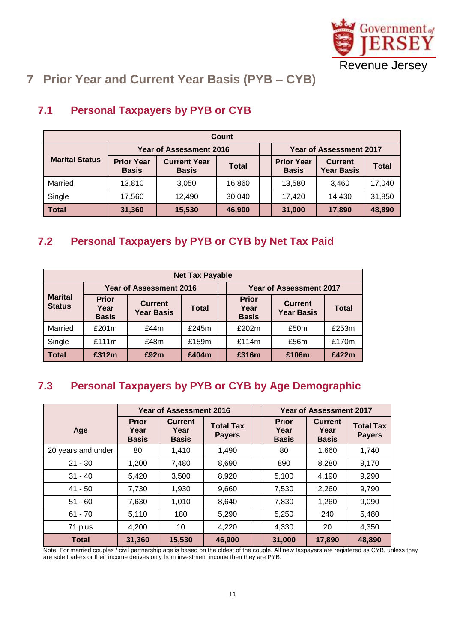

# <span id="page-10-0"></span>**7 Prior Year and Current Year Basis (PYB – CYB)**

| Count                 |                                   |                                     |              |  |                                   |                                     |              |  |  |  |
|-----------------------|-----------------------------------|-------------------------------------|--------------|--|-----------------------------------|-------------------------------------|--------------|--|--|--|
|                       | <b>Year of Assessment 2016</b>    |                                     |              |  | <b>Year of Assessment 2017</b>    |                                     |              |  |  |  |
| <b>Marital Status</b> | <b>Prior Year</b><br><b>Basis</b> | <b>Current Year</b><br><b>Basis</b> | <b>Total</b> |  | <b>Prior Year</b><br><b>Basis</b> | <b>Current</b><br><b>Year Basis</b> | <b>Total</b> |  |  |  |
| Married               | 13,810                            | 3,050                               | 16,860       |  | 13,580                            | 3.460                               | 17,040       |  |  |  |
| Single                | 17,560                            | 12,490                              | 30,040       |  | 17,420                            | 14.430                              | 31,850       |  |  |  |
| <b>Total</b>          | 31,360                            | 15,530                              | 46,900       |  | 31,000                            | 17,890                              | 48,890       |  |  |  |

# <span id="page-10-1"></span>**7.1 Personal Taxpayers by PYB or CYB**

### <span id="page-10-2"></span>**7.2 Personal Taxpayers by PYB or CYB by Net Tax Paid**

| <b>Net Tax Payable</b>          |                                      |                                     |          |  |                                      |                                     |              |  |  |  |
|---------------------------------|--------------------------------------|-------------------------------------|----------|--|--------------------------------------|-------------------------------------|--------------|--|--|--|
|                                 | <b>Year of Assessment 2016</b>       |                                     |          |  | <b>Year of Assessment 2017</b>       |                                     |              |  |  |  |
| <b>Marital</b><br><b>Status</b> | <b>Prior</b><br>Year<br><b>Basis</b> | <b>Current</b><br><b>Year Basis</b> | Total    |  | <b>Prior</b><br>Year<br><b>Basis</b> | <b>Current</b><br><b>Year Basis</b> | <b>Total</b> |  |  |  |
| Married                         | £201m                                | £44m                                | £245 $m$ |  | £202m                                | £50m                                | £253m        |  |  |  |
| Single                          | £111m                                | £48m                                | £159m    |  | £114 $m$                             | £56m                                | £170m        |  |  |  |
| Total                           | £312m                                | £92m                                | £404m    |  | £316m                                | £106m                               | £422m        |  |  |  |

#### <span id="page-10-3"></span>**7.3 Personal Taxpayers by PYB or CYB by Age Demographic**

|                    | <b>Year of Assessment 2016</b>       |                                        |                                   |                                      | <b>Year of Assessment 2017</b>         |                                   |
|--------------------|--------------------------------------|----------------------------------------|-----------------------------------|--------------------------------------|----------------------------------------|-----------------------------------|
| Age                | <b>Prior</b><br>Year<br><b>Basis</b> | <b>Current</b><br>Year<br><b>Basis</b> | <b>Total Tax</b><br><b>Payers</b> | <b>Prior</b><br>Year<br><b>Basis</b> | <b>Current</b><br>Year<br><b>Basis</b> | <b>Total Tax</b><br><b>Payers</b> |
| 20 years and under | 80                                   | 1,410                                  | 1,490                             | 80                                   | 1,660                                  | 1,740                             |
| $21 - 30$          | 1,200                                | 7,480                                  | 8,690                             | 890                                  | 8,280                                  | 9,170                             |
| $31 - 40$          | 5,420                                | 3,500                                  | 8,920                             | 5,100                                | 4,190                                  | 9,290                             |
| $41 - 50$          | 7,730                                | 1,930                                  | 9,660                             | 7,530                                | 2,260                                  | 9,790                             |
| $51 - 60$          | 7,630                                | 1,010                                  | 8,640                             | 7,830                                | 1,260                                  | 9,090                             |
| $61 - 70$          | 5,110                                | 180                                    | 5,290                             | 5,250                                | 240                                    | 5,480                             |
| 71 plus            | 4,200                                | 10                                     | 4,220                             | 4,330                                | 20                                     | 4,350                             |
| <b>Total</b>       | 31,360                               | 15,530                                 | 46,900                            | 31,000                               | 17,890                                 | 48,890                            |

Note: For married couples / civil partnership age is based on the oldest of the couple. All new taxpayers are registered as CYB, unless they are sole traders or their income derives only from investment income then they are PYB.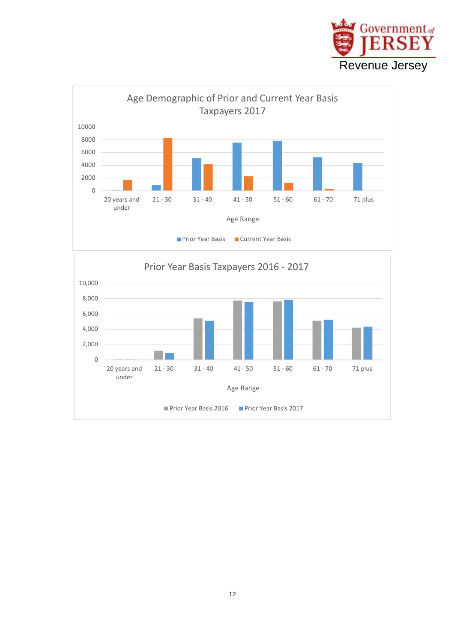



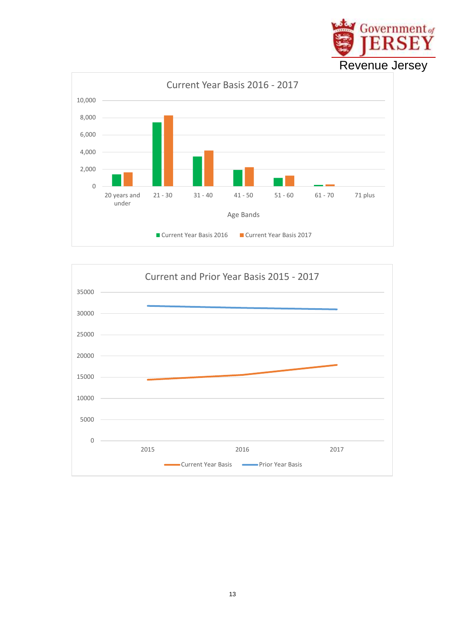

Government of

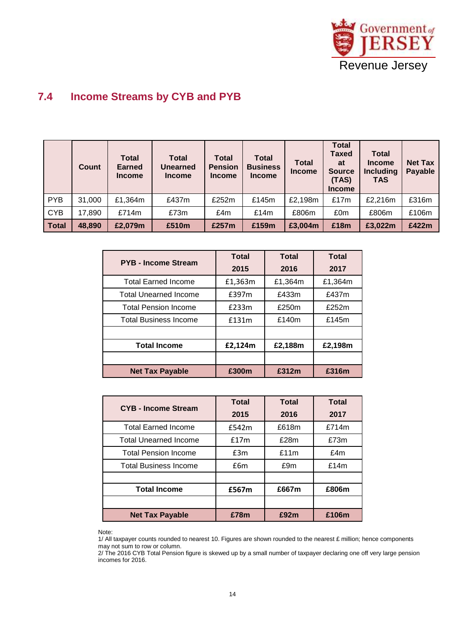

#### <span id="page-13-0"></span>**7.4 Income Streams by CYB and PYB**

|              | Count  | <b>Total</b><br><b>Earned</b><br><b>Income</b> | <b>Total</b><br><b>Unearned</b><br><b>Income</b> | <b>Total</b><br><b>Pension</b><br><b>Income</b> | <b>Total</b><br><b>Business</b><br><b>Income</b> | <b>Total</b><br><b>Income</b> | <b>Total</b><br><b>Taxed</b><br>at<br><b>Source</b><br>(TAS)<br><b>Income</b> | <b>Total</b><br><b>Income</b><br><b>Including</b><br><b>TAS</b> | <b>Net Tax</b><br><b>Payable</b> |
|--------------|--------|------------------------------------------------|--------------------------------------------------|-------------------------------------------------|--------------------------------------------------|-------------------------------|-------------------------------------------------------------------------------|-----------------------------------------------------------------|----------------------------------|
| <b>PYB</b>   | 31,000 | £1,364m                                        | £437m                                            | £252m                                           | £145m                                            | £2,198m                       | £17m                                                                          | £2,216m                                                         | £316m                            |
| <b>CYB</b>   | 17,890 | £714m                                          | £73m                                             | £4m                                             | £14m                                             | £806m                         | £0m                                                                           | £806m                                                           | £106m                            |
| <b>Total</b> | 48,890 | £2,079m                                        | £510m                                            | £257m                                           | £159m                                            | £3,004m                       | £18m                                                                          | £3,022m                                                         | £422m                            |

| <b>PYB - Income Stream</b>   | Total   | <b>Total</b> | <b>Total</b> |
|------------------------------|---------|--------------|--------------|
|                              | 2015    | 2016         | 2017         |
| <b>Total Earned Income</b>   | £1,363m | £1,364m      | £1,364m      |
| <b>Total Unearned Income</b> | £397m   | £433m        | £437m        |
| <b>Total Pension Income</b>  | £233m   | £250m        | £252m        |
| <b>Total Business Income</b> | £131m   | £140m        | £145m        |
|                              |         |              |              |
| <b>Total Income</b>          | £2,124m | £2,188m      | £2,198m      |
|                              |         |              |              |
| <b>Net Tax Payable</b>       | £300m   | £312m        | £316m        |

| <b>CYB - Income Stream</b>   | <b>Total</b> | <b>Total</b> | <b>Total</b> |
|------------------------------|--------------|--------------|--------------|
|                              | 2015         | 2016         | 2017         |
| <b>Total Earned Income</b>   | £542m        | £618m        | £714m        |
| <b>Total Unearned Income</b> | £17m         | £28m         | £73m         |
| <b>Total Pension Income</b>  | £3m          | £11m         | £4m          |
| <b>Total Business Income</b> | £6m          | £9m          | £14m         |
|                              |              |              |              |
| <b>Total Income</b>          | £567m        | £667m        | £806m        |
|                              |              |              |              |
| <b>Net Tax Payable</b>       | £78m         | £92m         | £106m        |

Note:

2/ The 2016 CYB Total Pension figure is skewed up by a small number of taxpayer declaring one off very large pension incomes for 2016.

<sup>1/</sup> All taxpayer counts rounded to nearest 10. Figures are shown rounded to the nearest £ million; hence components may not sum to row or column.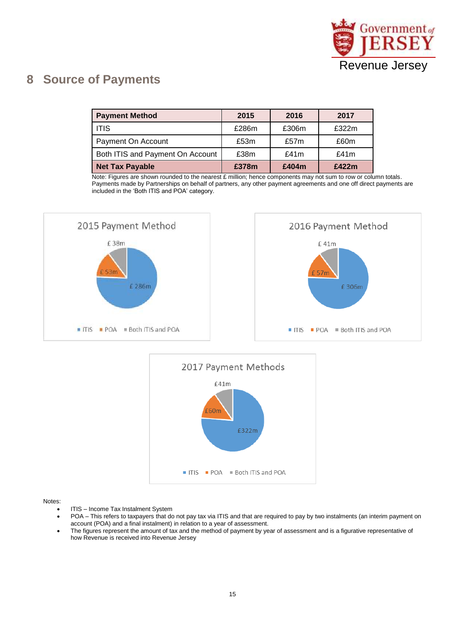

### <span id="page-14-0"></span>**8 Source of Payments**

| <b>Payment Method</b>            | 2015  | 2016  | 2017    |
|----------------------------------|-------|-------|---------|
| <b>ITIS</b>                      | £286m | £306m | £322m   |
| Payment On Account               | £53m  | £57m  | £60m    |
| Both ITIS and Payment On Account | £38m  | £41m  | £41 $m$ |
| <b>Net Tax Payable</b>           | £378m | £404m | £422m   |

Note: Figures are shown rounded to the nearest £ million; hence components may not sum to row or column totals. Payments made by Partnerships on behalf of partners, any other payment agreements and one off direct payments are included in the 'Both ITIS and POA' category.





Notes:

- ITIS Income Tax Instalment System
- POA This refers to taxpayers that do not pay tax via ITIS and that are required to pay by two instalments (an interim payment on account (POA) and a final instalment) in relation to a year of assessment.
- The figures represent the amount of tax and the method of payment by year of assessment and is a figurative representative of how Revenue is received into Revenue Jersey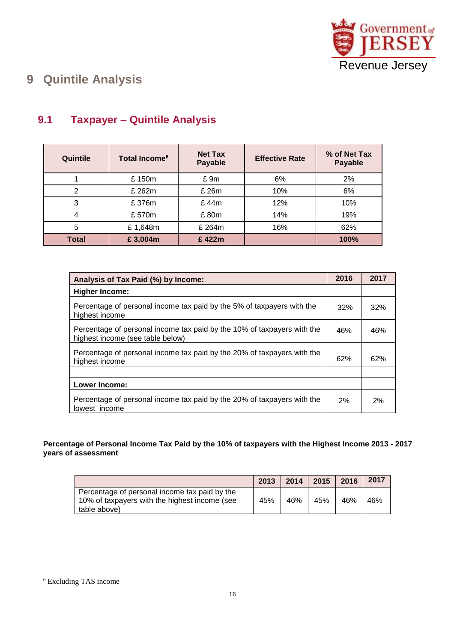

# <span id="page-15-0"></span>**9 Quintile Analysis**

| Quintile | Total Income <sup>6</sup> | <b>Net Tax</b><br>Payable | <b>Effective Rate</b> | % of Net Tax<br>Payable |
|----------|---------------------------|---------------------------|-----------------------|-------------------------|
|          | £150m                     | £9m                       | 6%                    | 2%                      |
| 2        | £ 262m                    | £ 26m                     | 10%                   | 6%                      |
| 3        | £376m                     | £44m                      | 12%                   | 10%                     |
| 4        | £570m                     | £80m                      | 14%                   | 19%                     |
| 5        | £1,648m                   | £ 264m                    | 16%                   | 62%                     |
| Total    | £3,004m                   | £422m                     |                       | 100%                    |

#### <span id="page-15-1"></span>**9.1 Taxpayer – Quintile Analysis**

| Analysis of Tax Paid (%) by Income:                                                                         | 2016  | 2017 |
|-------------------------------------------------------------------------------------------------------------|-------|------|
| <b>Higher Income:</b>                                                                                       |       |      |
| Percentage of personal income tax paid by the 5% of taxpayers with the<br>highest income                    | 32%   | 32%  |
| Percentage of personal income tax paid by the 10% of taxpayers with the<br>highest income (see table below) | 46%   | 46%  |
| Percentage of personal income tax paid by the 20% of taxpayers with the<br>highest income                   | 62%   | 62%  |
|                                                                                                             |       |      |
| <b>Lower Income:</b>                                                                                        |       |      |
| Percentage of personal income tax paid by the 20% of taxpayers with the<br>lowest income                    | $2\%$ | 2%   |

#### **Percentage of Personal Income Tax Paid by the 10% of taxpayers with the Highest Income 2013 - 2017 years of assessment**

|                                                                                                                | 2013 | 2014 | 2015 | 2016 | 2017 |
|----------------------------------------------------------------------------------------------------------------|------|------|------|------|------|
| Percentage of personal income tax paid by the<br>10% of taxpayers with the highest income (see<br>table above) | 45%  | 46%  | 45%  | 46%  | 46%  |

l

<sup>6</sup> Excluding TAS income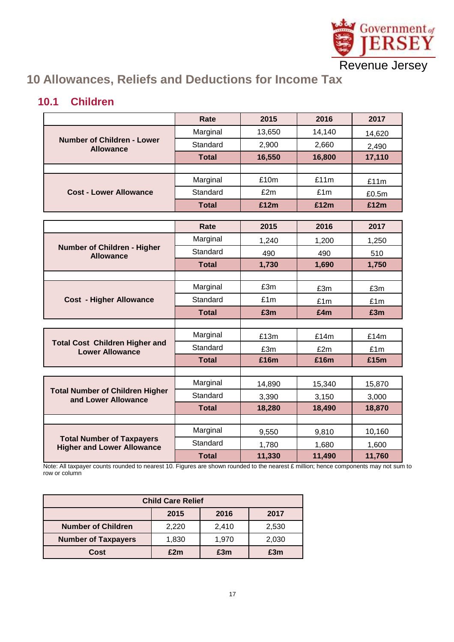

# <span id="page-16-0"></span>**10 Allowances, Reliefs and Deductions for Income Tax**

#### <span id="page-16-1"></span>**10.1 Children**

|                                                       | Rate         | 2015   | 2016   | 2017   |
|-------------------------------------------------------|--------------|--------|--------|--------|
|                                                       | Marginal     | 13,650 | 14,140 | 14,620 |
| <b>Number of Children - Lower</b><br><b>Allowance</b> | Standard     | 2,900  | 2,660  | 2,490  |
|                                                       | <b>Total</b> | 16,550 | 16,800 | 17,110 |
|                                                       |              |        |        |        |
|                                                       | Marginal     | £10m   | £11m   | £11m   |
| <b>Cost - Lower Allowance</b>                         | Standard     | £2m    | £1m    | £0.5m  |
|                                                       | <b>Total</b> | £12m   | £12m   | £12m   |
|                                                       |              | 2015   | 2016   |        |
|                                                       | Rate         |        |        | 2017   |
| Number of Children - Higher                           | Marginal     | 1,240  | 1,200  | 1,250  |
| <b>Allowance</b>                                      | Standard     | 490    | 490    | 510    |
|                                                       | <b>Total</b> | 1,730  | 1,690  | 1,750  |
|                                                       |              |        |        |        |
|                                                       | Marginal     | £3m    | £3m    | £3m    |
| <b>Cost - Higher Allowance</b>                        | Standard     | £1m    | £1m    | £1m    |
|                                                       | <b>Total</b> | £3m    | £4m    | £3m    |
|                                                       |              |        |        |        |
| <b>Total Cost Children Higher and</b>                 | Marginal     | £13m   | £14m   | £14m   |
| <b>Lower Allowance</b>                                | Standard     | £3m    | £2m    | £1m    |
|                                                       | <b>Total</b> | £16m   | £16m   | £15m   |
|                                                       |              |        |        |        |
| <b>Total Number of Children Higher</b>                | Marginal     | 14,890 | 15,340 | 15,870 |
| and Lower Allowance                                   | Standard     | 3,390  | 3,150  | 3,000  |
|                                                       | <b>Total</b> | 18,280 | 18,490 | 18,870 |
|                                                       |              |        |        |        |
| <b>Total Number of Taxpayers</b>                      | Marginal     | 9,550  | 9,810  | 10,160 |
| <b>Higher and Lower Allowance</b>                     | Standard     | 1,780  | 1,680  | 1,600  |
|                                                       | <b>Total</b> | 11,330 | 11,490 | 11,760 |

Note: All taxpayer counts rounded to nearest 10. Figures are shown rounded to the nearest £ million; hence components may not sum to row or column

| <b>Child Care Relief</b>   |       |       |       |  |  |  |
|----------------------------|-------|-------|-------|--|--|--|
| 2015<br>2016<br>2017       |       |       |       |  |  |  |
| <b>Number of Children</b>  | 2,220 | 2,410 | 2,530 |  |  |  |
| <b>Number of Taxpayers</b> | 1,830 | 1,970 | 2,030 |  |  |  |
| Cost                       | £2m   | £3m   | £3m   |  |  |  |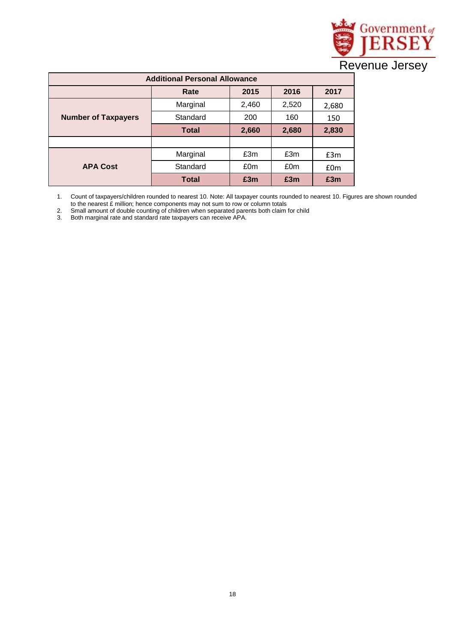

| <b>Additional Personal Allowance</b>   |              |       |       |       |  |  |  |  |
|----------------------------------------|--------------|-------|-------|-------|--|--|--|--|
|                                        | Rate         | 2015  | 2016  | 2017  |  |  |  |  |
|                                        | Marginal     | 2,460 | 2,520 | 2,680 |  |  |  |  |
| Standard<br><b>Number of Taxpayers</b> |              | 200   | 160   | 150   |  |  |  |  |
|                                        | <b>Total</b> | 2,660 | 2,680 | 2,830 |  |  |  |  |
|                                        |              |       |       |       |  |  |  |  |
|                                        | Marginal     | £3m   | £3m   | £3m   |  |  |  |  |
| <b>APA Cost</b>                        | Standard     | £0m   | £0m   | £0m   |  |  |  |  |
|                                        | <b>Total</b> | £3m   | £3m   | £3m   |  |  |  |  |

1. Count of taxpayers/children rounded to nearest 10. Note: All taxpayer counts rounded to nearest 10. Figures are shown rounded to the nearest £ million; hence components may not sum to row or column totals

2. Small amount of double counting of children when separated parents both claim for child

3. Both marginal rate and standard rate taxpayers can receive APA.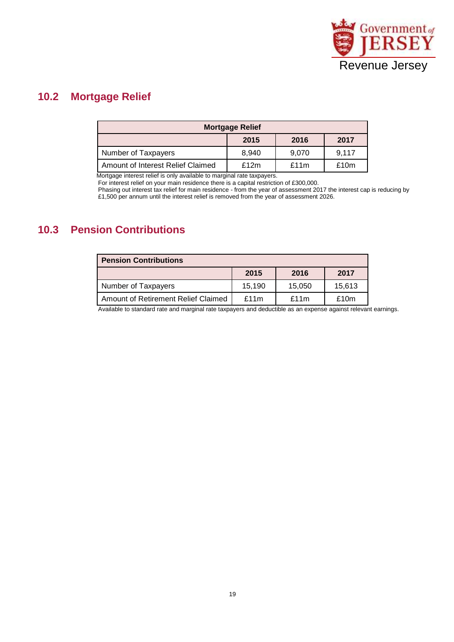

#### <span id="page-18-0"></span>**10.2 Mortgage Relief**

| <b>Mortgage Relief</b>            |       |       |       |  |  |  |  |  |
|-----------------------------------|-------|-------|-------|--|--|--|--|--|
|                                   | 2015  | 2016  | 2017  |  |  |  |  |  |
| Number of Taxpayers               | 8,940 | 9,070 | 9,117 |  |  |  |  |  |
| Amount of Interest Relief Claimed | £12m  | £11m  | £10m  |  |  |  |  |  |

Mortgage interest relief is only available to marginal rate taxpayers.

For interest relief on your main residence there is a capital restriction of £300,000.

Phasing out interest tax relief for main residence - from the year of assessment 2017 the interest cap is reducing by £1,500 per annum until the interest relief is removed from the year of assessment 2026.

#### <span id="page-18-1"></span>**10.3 Pension Contributions**

| <b>Pension Contributions</b>        |        |        |        |  |  |  |  |
|-------------------------------------|--------|--------|--------|--|--|--|--|
|                                     | 2015   | 2016   | 2017   |  |  |  |  |
| Number of Taxpayers                 | 15.190 | 15,050 | 15,613 |  |  |  |  |
| Amount of Retirement Relief Claimed | £11m   | £11m   | £10m   |  |  |  |  |

Available to standard rate and marginal rate taxpayers and deductible as an expense against relevant earnings.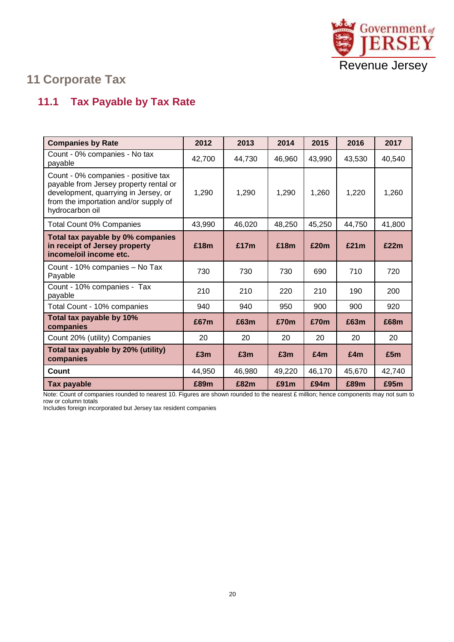

# <span id="page-19-0"></span>**11 Corporate Tax**

## <span id="page-19-1"></span>**11.1 Tax Payable by Tax Rate**

| <b>Companies by Rate</b>                                                                                                                                                          | 2012   | 2013   | 2014   | 2015   | 2016   | 2017   |
|-----------------------------------------------------------------------------------------------------------------------------------------------------------------------------------|--------|--------|--------|--------|--------|--------|
| Count - 0% companies - No tax<br>payable                                                                                                                                          | 42,700 | 44,730 | 46,960 | 43,990 | 43,530 | 40,540 |
| Count - 0% companies - positive tax<br>payable from Jersey property rental or<br>development, quarrying in Jersey, or<br>from the importation and/or supply of<br>hydrocarbon oil | 1,290  | 1,290  | 1,290  | 1,260  | 1,220  | 1,260  |
| <b>Total Count 0% Companies</b>                                                                                                                                                   | 43,990 | 46,020 | 48,250 | 45,250 | 44,750 | 41,800 |
| Total tax payable by 0% companies<br>in receipt of Jersey property<br>income/oil income etc.                                                                                      | £18m   | £17m   | £18m   | £20m   | £21m   | £22m   |
| Count - 10% companies - No Tax<br>Payable                                                                                                                                         | 730    | 730    | 730    | 690    | 710    | 720    |
| Count - 10% companies - Tax<br>payable                                                                                                                                            | 210    | 210    | 220    | 210    | 190    | 200    |
| Total Count - 10% companies                                                                                                                                                       | 940    | 940    | 950    | 900    | 900    | 920    |
| Total tax payable by 10%<br>companies                                                                                                                                             | £67m   | £63m   | £70m   | £70m   | £63m   | £68m   |
| Count 20% (utility) Companies                                                                                                                                                     | 20     | 20     | 20     | 20     | 20     | 20     |
| Total tax payable by 20% (utility)<br>companies                                                                                                                                   | £3m    | £3m    | £3m    | £4m    | £4m    | £5m    |
| <b>Count</b>                                                                                                                                                                      | 44,950 | 46,980 | 49,220 | 46,170 | 45,670 | 42,740 |
| Tax payable                                                                                                                                                                       | £89m   | £82m   | £91m   | £94m   | £89m   | £95m   |

Note: Count of companies rounded to nearest 10. Figures are shown rounded to the nearest £ million; hence components may not sum to row or column totals

Includes foreign incorporated but Jersey tax resident companies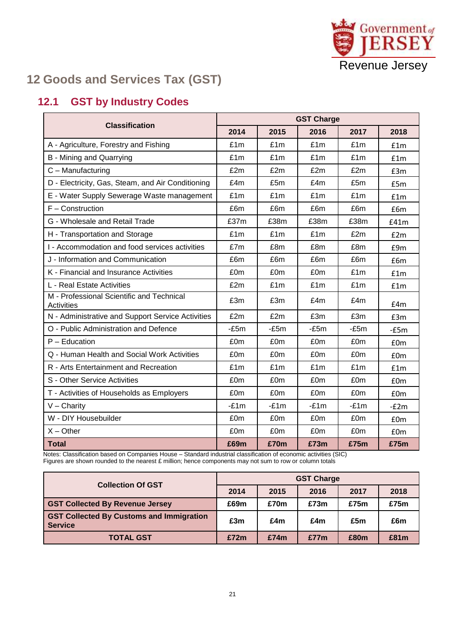

# <span id="page-20-0"></span>**12 Goods and Services Tax (GST)**

#### <span id="page-20-1"></span>**12.1 GST by Industry Codes**

| <b>Classification</b>                                   | <b>GST Charge</b> |        |        |        |                 |  |  |
|---------------------------------------------------------|-------------------|--------|--------|--------|-----------------|--|--|
|                                                         | 2014              | 2015   | 2016   | 2017   | 2018            |  |  |
| A - Agriculture, Forestry and Fishing                   | £1m               | £1m    | £1m    | £1m    | £1m             |  |  |
| B - Mining and Quarrying                                | £1m               | £1m    | £1m    | £1m    | f1m             |  |  |
| C - Manufacturing                                       | £2m               | £2m    | £2m    | £2m    | £3m             |  |  |
| D - Electricity, Gas, Steam, and Air Conditioning       | £4m               | £5m    | £4m    | £5m    | £5m             |  |  |
| E - Water Supply Sewerage Waste management              | £1m               | £1m    | £1m    | £1m    | f1m             |  |  |
| $F -$ Construction                                      | £6m               | £6m    | £6m    | £6m    | £6m             |  |  |
| G - Wholesale and Retail Trade                          | £37m              | £38m   | £38m   | £38m   | f41m            |  |  |
| H - Transportation and Storage                          | £1m               | f/m    | f/m    | £2m    | E2m             |  |  |
| I - Accommodation and food services activities          | £7m               | £8m    | £8m    | £8m    | £9m             |  |  |
| J - Information and Communication                       | £6m               | £6m    | £6m    | £6m    | £6m             |  |  |
| K - Financial and Insurance Activities                  | £0m               | £0m    | £0m    | £1m    | £1m             |  |  |
| L - Real Estate Activities                              | £2m               | £1m    | £1m    | £1m    | f1m             |  |  |
| M - Professional Scientific and Technical<br>Activities | £3m               | £3m    | £4m    | £4m    | f4m             |  |  |
| N - Administrative and Support Service Activities       | £2m               | £2m    | £3m    | £3m    | £3m             |  |  |
| O - Public Administration and Defence                   | $-E5m$            | $-E5m$ | $-E5m$ | $-£5m$ | $-E5m$          |  |  |
| $P - Education$                                         | £0m               | £0m    | £0m    | £0m    | £0m             |  |  |
| Q - Human Health and Social Work Activities             | £0m               | £0m    | £0m    | £0m    | £0m             |  |  |
| R - Arts Entertainment and Recreation                   | £1m               | £1m    | £1m    | £1m    | f1m             |  |  |
| S - Other Service Activities                            | £0m               | £0m    | £0m    | £0m    | £0 <sub>m</sub> |  |  |
| T - Activities of Households as Employers               | £0m               | £0m    | £0m    | £0m    | £0m             |  |  |
| $V -$ Charity                                           | $-£1m$            | $-£1m$ | $-£1m$ | $-£1m$ | $-E2m$          |  |  |
| W - DIY Housebuilder                                    | £0m               | £0m    | £0m    | £0m    | $f$ Om          |  |  |
| $X - Other$                                             | £0m               | £0m    | £0m    | £0m    | £0m             |  |  |
| <b>Total</b>                                            | £69m              | £70m   | £73m   | £75m   | £75m            |  |  |

Notes: Classification based on Companies House – Standard industrial classification of economic activities (SIC) Figures are shown rounded to the nearest £ million; hence components may not sum to row or column totals

| <b>Collection Of GST</b>                                          | <b>GST Charge</b> |      |      |      |      |  |
|-------------------------------------------------------------------|-------------------|------|------|------|------|--|
|                                                                   | 2014              | 2015 | 2016 | 2017 | 2018 |  |
| <b>GST Collected By Revenue Jersey</b>                            | £69m              | £70m | £73m | £75m | £75m |  |
| <b>GST Collected By Customs and Immigration</b><br><b>Service</b> | £3m               | £4m  | £4m  | £5m  | £6m  |  |
| <b>TOTAL GST</b>                                                  | £72m              | £74m | £77m | £80m | £81m |  |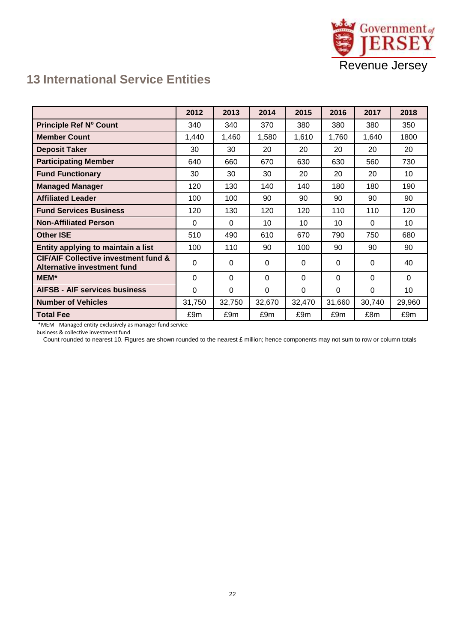

### <span id="page-21-0"></span>**13 International Service Entities**

|                                                                                | 2012     | 2013     | 2014   | 2015   | 2016   | 2017     | 2018   |
|--------------------------------------------------------------------------------|----------|----------|--------|--------|--------|----------|--------|
| Principle Ref N° Count                                                         | 340      | 340      | 370    | 380    | 380    | 380      | 350    |
| <b>Member Count</b>                                                            | 1,440    | 1,460    | 1,580  | 1,610  | 1,760  | 1,640    | 1800   |
| <b>Deposit Taker</b>                                                           | 30       | 30       | 20     | 20     | 20     | 20       | 20     |
| <b>Participating Member</b>                                                    | 640      | 660      | 670    | 630    | 630    | 560      | 730    |
| <b>Fund Functionary</b>                                                        | 30       | 30       | 30     | 20     | 20     | 20       | 10     |
| <b>Managed Manager</b>                                                         | 120      | 130      | 140    | 140    | 180    | 180      | 190    |
| <b>Affiliated Leader</b>                                                       | 100      | 100      | 90     | 90     | 90     | 90       | 90     |
| <b>Fund Services Business</b>                                                  | 120      | 130      | 120    | 120    | 110    | 110      | 120    |
| <b>Non-Affiliated Person</b>                                                   | 0        | $\Omega$ | 10     | 10     | 10     | $\Omega$ | 10     |
| <b>Other ISE</b>                                                               | 510      | 490      | 610    | 670    | 790    | 750      | 680    |
| Entity applying to maintain a list                                             | 100      | 110      | 90     | 100    | 90     | 90       | 90     |
| <b>CIF/AIF Collective investment fund &amp;</b><br>Alternative investment fund | $\Omega$ | 0        | 0      | 0      | 0      | 0        | 40     |
| MEM*                                                                           | $\Omega$ | $\Omega$ | 0      | 0      | 0      | 0        | 0      |
| <b>AIFSB - AIF services business</b>                                           | $\Omega$ | 0        | 0      | 0      | 0      | $\Omega$ | 10     |
| <b>Number of Vehicles</b>                                                      | 31,750   | 32,750   | 32,670 | 32,470 | 31,660 | 30,740   | 29,960 |
| <b>Total Fee</b>                                                               | £9m      | £9m      | £9m    | £9m    | £9m    | £8m      | £9m    |

\*MEM - Managed entity exclusively as manager fund service

business & collective investment fund

Count rounded to nearest 10. Figures are shown rounded to the nearest £ million; hence components may not sum to row or column totals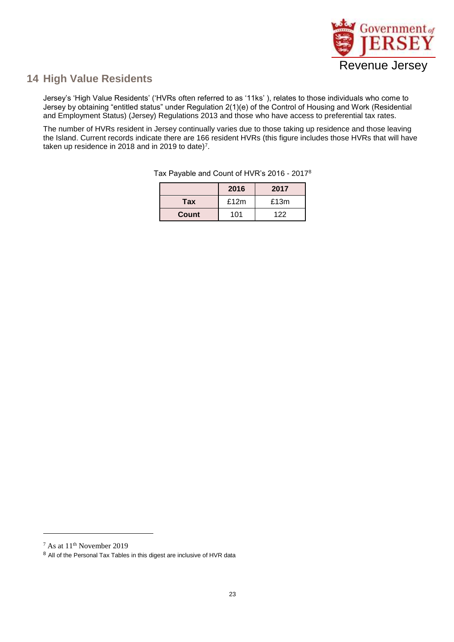

#### <span id="page-22-0"></span>**14 High Value Residents**

Jersey's 'High Value Residents' ('HVRs often referred to as '11ks' ), relates to those individuals who come to Jersey by obtaining "entitled status" under Regulation 2(1)(e) of the Control of Housing and Work (Residential and Employment Status) (Jersey) Regulations 2013 and those who have access to preferential tax rates.

The number of HVRs resident in Jersey continually varies due to those taking up residence and those leaving the Island. Current records indicate there are 166 resident HVRs (this figure includes those HVRs that will have taken up residence in 2018 and in 2019 to date)<sup>7</sup> .

|       | 2016 | 2017 |
|-------|------|------|
| Tax   | £12m | £13m |
| Count | 101  | 122  |

Tax Payable and Count of HVR's 2016 - 2017<sup>8</sup>

l

<sup>7</sup> As at 11th November 2019

<sup>8</sup> All of the Personal Tax Tables in this digest are inclusive of HVR data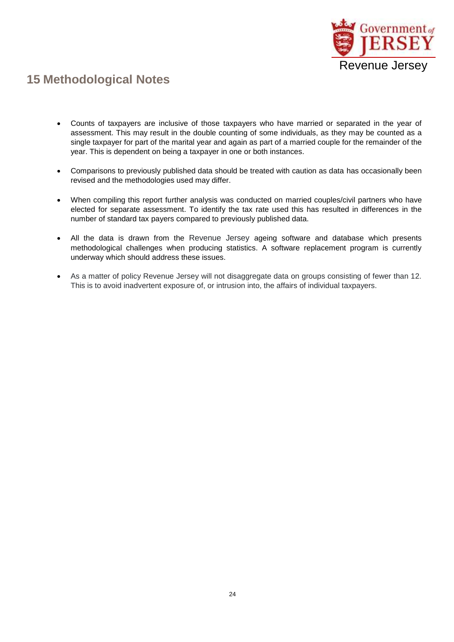

## <span id="page-23-0"></span>**15 Methodological Notes**

- Counts of taxpayers are inclusive of those taxpayers who have married or separated in the year of assessment. This may result in the double counting of some individuals, as they may be counted as a single taxpayer for part of the marital year and again as part of a married couple for the remainder of the year. This is dependent on being a taxpayer in one or both instances.
- Comparisons to previously published data should be treated with caution as data has occasionally been revised and the methodologies used may differ.
- When compiling this report further analysis was conducted on married couples/civil partners who have elected for separate assessment. To identify the tax rate used this has resulted in differences in the number of standard tax payers compared to previously published data.
- All the data is drawn from the Revenue Jersey ageing software and database which presents methodological challenges when producing statistics. A software replacement program is currently underway which should address these issues.
- As a matter of policy Revenue Jersey will not disaggregate data on groups consisting of fewer than 12. This is to avoid inadvertent exposure of, or intrusion into, the affairs of individual taxpayers.